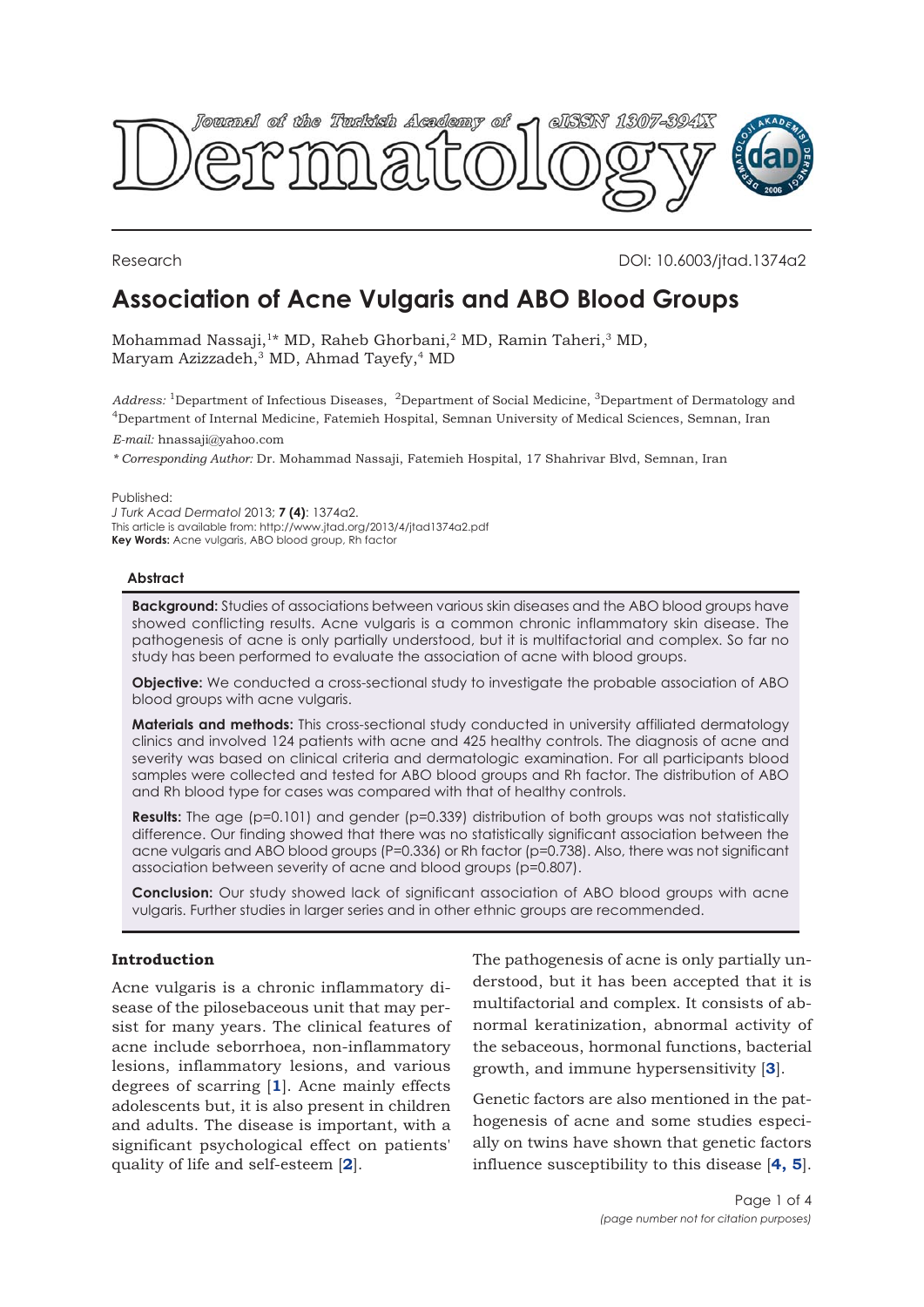

Research DOI: 10.6003/jtad.1374a2

# **Association of Acne Vulgaris and ABO Blood Groups**

Mohammad Nassaji,<sup>1\*</sup> MD, Raheb Ghorbani,<sup>2</sup> MD, Ramin Taheri,<sup>3</sup> MD, Maryam Azizzadeh,<sup>3</sup> MD, Ahmad Tayefy,<sup>4</sup> MD

*Address:* 1Department of Infectious Diseases, 2Department of Social Medicine, 3Department of Dermatology and 4Department of Internal Medicine, Fatemieh Hospital, Semnan University of Medical Sciences, Semnan, Iran

*E-mail:* hnassaji@yahoo.com

*\* Corresponding Author:* Dr. Mohammad Nassaji, Fatemieh Hospital, 17 Shahrivar Blvd, Semnan, Iran

Published:

*J Turk Acad Dermatol* 2013; **7 (4)**: 1374a2. This article is available from: http://www.jtad.org/2013/4/jtad1374a2.pdf **Key Words:** Acne vulgaris, ABO blood group, Rh factor

#### **Abstract**

**Background:** Studies of associations between various skin diseases and the ABO blood groups have showed conflicting results. Acne vulgaris is a common chronic inflammatory skin disease. The pathogenesis of acne is only partially understood, but it is multifactorial and complex. So far no study has been performed to evaluate the association of acne with blood groups.

**Objective:** We conducted a cross-sectional study to investigate the probable association of ABO blood groups with acne vulgaris.

**Materials and methods:** This cross-sectional study conducted in university affiliated dermatology clinics and involved 124 patients with acne and 425 healthy controls. The diagnosis of acne and severity was based on clinical criteria and dermatologic examination. For all participants blood samples were collected and tested for ABO blood groups and Rh factor. The distribution of ABO and Rh blood type for cases was compared with that of healthy controls.

**Results:** The age (p=0.101) and gender (p=0.339) distribution of both groups was not statistically difference. Our finding showed that there was no statistically significant association between the acne vulgaris and ABO blood groups (P=0.336) or Rh factor (p=0.738). Also, there was not significant association between severity of acne and blood groups (p=0.807).

**Conclusion:** Our study showed lack of significant association of ABO blood groups with acne vulgaris. Further studies in larger series and in other ethnic groups are recommended.

## **Introduction**

Acne vulgaris is a chronic inflammatory disease of the pilosebaceous unit that may persist for many years. The clinical features of acne include seborrhoea, non-inflammatory lesions, inflammatory lesions, and various degrees of scarring [**1**]. Acne mainly effects adolescents but, it is also present in children and adults. The disease is important, with a significant psychological effect on patients' quality of life and self-esteem [**2**].

The pathogenesis of acne is only partially understood, but it has been accepted that it is multifactorial and complex. It consists of abnormal keratinization, abnormal activity of the sebaceous, hormonal functions, bacterial growth, and immune hypersensitivity [**3**].

Genetic factors are also mentioned in the pathogenesis of acne and some studies especially on twins have shown that genetic factors influence susceptibility to this disease [**4, 5**].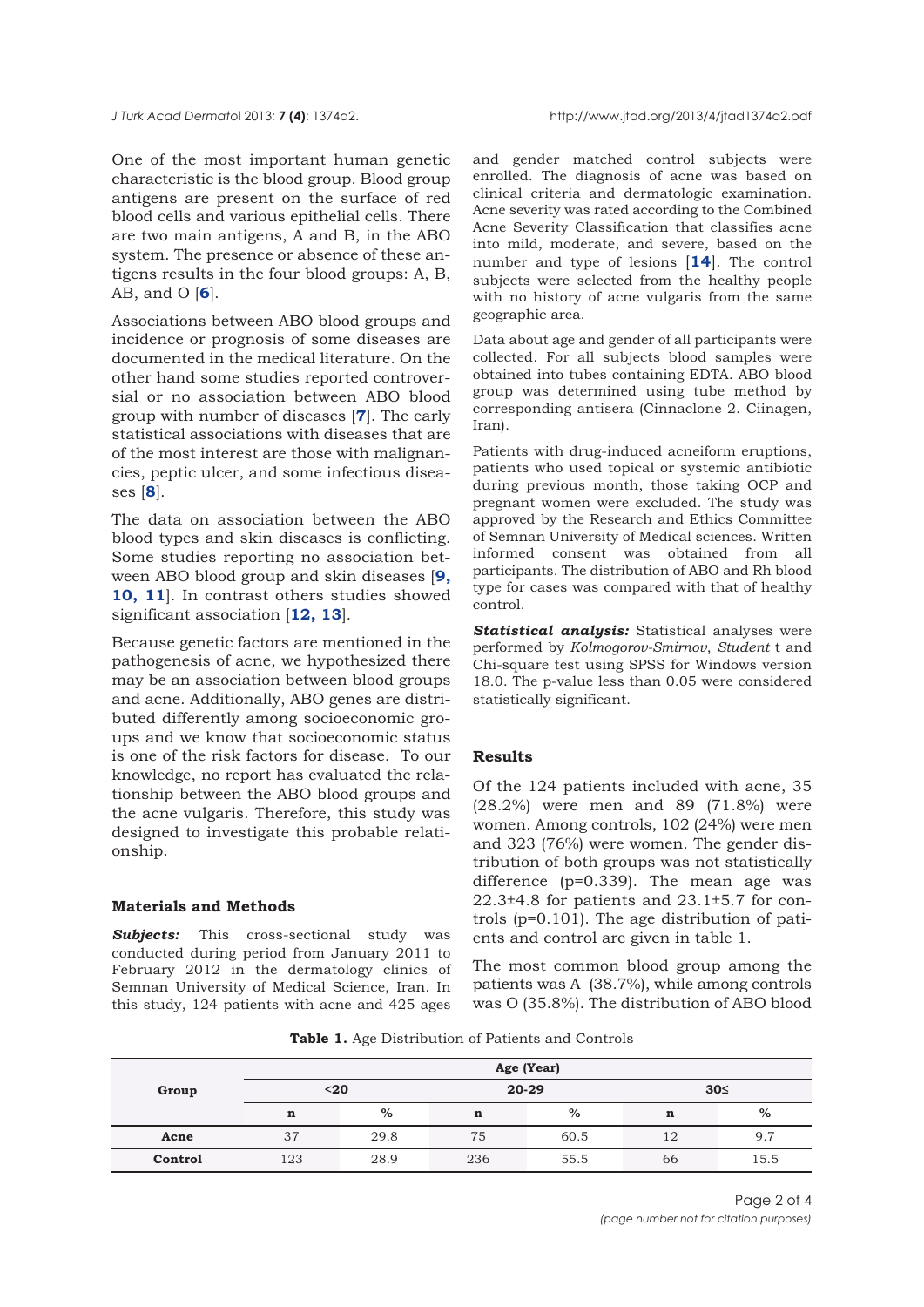One of the most important human genetic characteristic is the blood group. Blood group antigens are present on the surface of red blood cells and various epithelial cells. There are two main antigens, A and B, in the ABO system. The presence or absence of these antigens results in the four blood groups: A, B, AB, and O [**6**].

Associations between ABO blood groups and incidence or prognosis of some diseases are documented in the medical literature. On the other hand some studies reported controversial or no association between ABO blood group with number of diseases [**7**]. The early statistical associations with diseases that are of the most interest are those with malignancies, peptic ulcer, and some infectious diseases [**8**].

The data on association between the ABO blood types and skin diseases is conflicting. Some studies reporting no association between ABO blood group and skin diseases [**9, 10, 11**]. In contrast others studies showed significant association [**12, 13**].

Because genetic factors are mentioned in the pathogenesis of acne, we hypothesized there may be an association between blood groups and acne. Additionally, ABO genes are distributed differently among socioeconomic groups and we know that socioeconomic status is one of the risk factors for disease. To our knowledge, no report has evaluated the relationship between the ABO blood groups and the acne vulgaris. Therefore, this study was designed to investigate this probable relationship.

### **Materials and Methods**

**Subjects:** This cross-sectional study was conducted during period from January 2011 to February 2012 in the dermatology clinics of Semnan University of Medical Science, Iran. In this study, 124 patients with acne and 425 ages

and gender matched control subjects were enrolled. The diagnosis of acne was based on clinical criteria and dermatologic examination. Acne severity was rated according to the Combined Acne Severity Classification that classifies acne into mild, moderate, and severe, based on the number and type of lesions [**14**]. The control subjects were selected from the healthy people with no history of acne vulgaris from the same geographic area.

Data about age and gender of all participants were collected. For all subjects blood samples were obtained into tubes containing EDTA. ABO blood group was determined using tube method by corresponding antisera (Cinnaclone 2. Ciinagen, Iran).

Patients with drug-induced acneiform eruptions, patients who used topical or systemic antibiotic during previous month, those taking OCP and pregnant women were excluded. The study was approved by the Research and Ethics Committee of Semnan University of Medical sciences. Written informed consent was obtained from all participants. The distribution of ABO and Rh blood type for cases was compared with that of healthy control.

*Statistical analysis:* Statistical analyses were performed by *Kolmogorov-Smirnov*, *Student* t and Chi-square test using SPSS for Windows version 18.0. The p-value less than 0.05 were considered statistically significant.

### **Results**

Of the 124 patients included with acne, 35 (28.2%) were men and 89 (71.8%) were women. Among controls, 102 (24%) were men and 323 (76%) were women. The gender distribution of both groups was not statistically difference (p=0.339). The mean age was 22.3±4.8 for patients and 23.1±5.7 for controls (p=0.101). The age distribution of patients and control are given in table 1.

The most common blood group among the patients was A (38.7%), while among controls was O (35.8%). The distribution of ABO blood

**Table 1.** Age Distribution of Patients and Controls

|         | Age (Year) |      |             |      |             |      |  |
|---------|------------|------|-------------|------|-------------|------|--|
| Group   | $20$       |      | $20 - 29$   |      | 30<         |      |  |
|         | n          | $\%$ | $\mathbf n$ | $\%$ | $\mathbf n$ | $\%$ |  |
| Acne    | 37         | 29.8 | 75          | 60.5 | 12          | 9.7  |  |
| Control | 123        | 28.9 | 236         | 55.5 | 66          | 15.5 |  |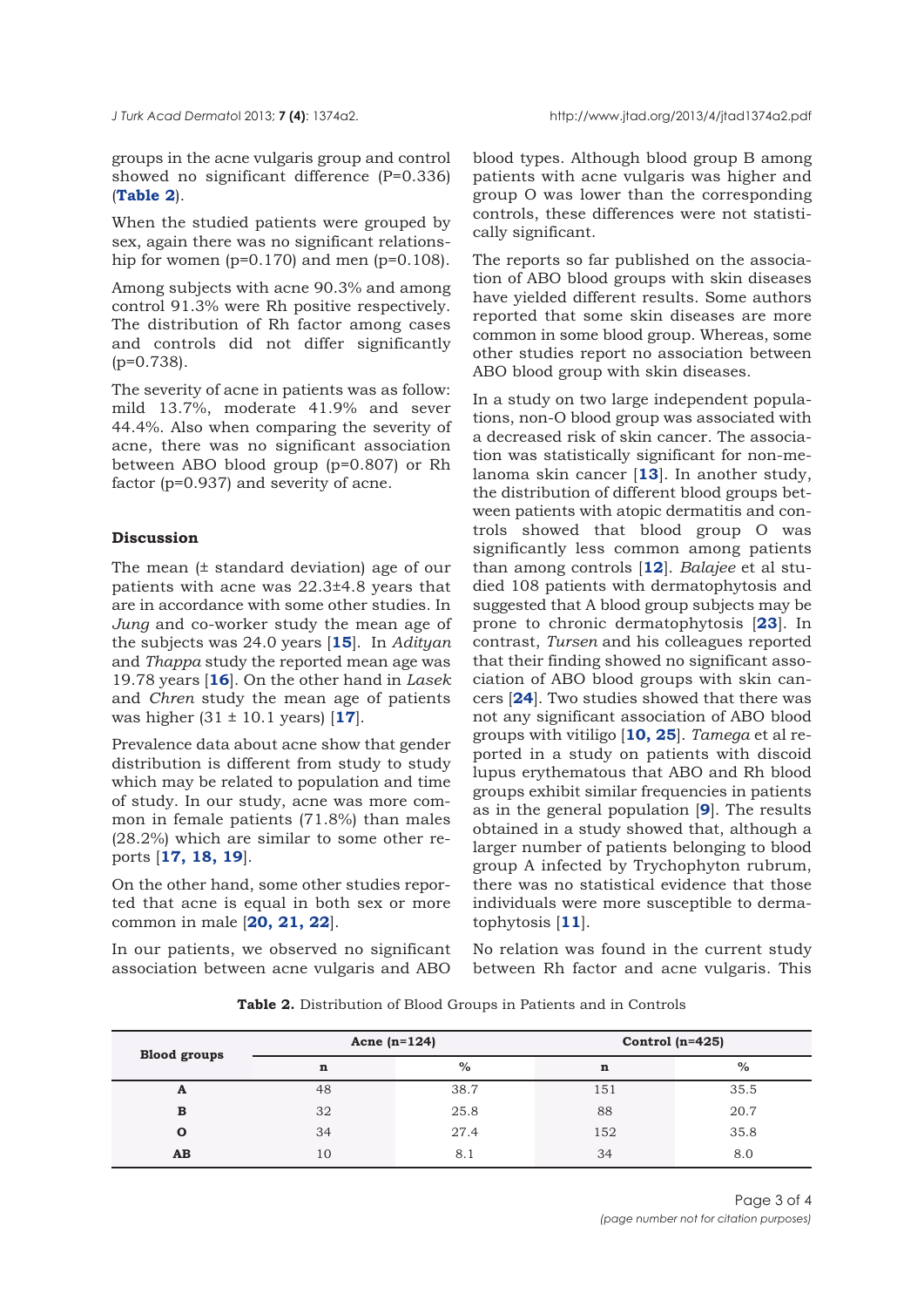groups in the acne vulgaris group and control showed no significant difference (P=0.336) (**Table 2**).

When the studied patients were grouped by sex, again there was no significant relationship for women  $(p=0.170)$  and men  $(p=0.108)$ .

Among subjects with acne 90.3% and among control 91.3% were Rh positive respectively. The distribution of Rh factor among cases and controls did not differ significantly (p=0.738).

The severity of acne in patients was as follow: mild 13.7%, moderate 41.9% and sever 44.4%. Also when comparing the severity of acne, there was no significant association between ABO blood group (p=0.807) or Rh factor (p=0.937) and severity of acne.

## **Discussion**

The mean (± standard deviation) age of our patients with acne was 22.3±4.8 years that are in accordance with some other studies. In *Jung* and co-worker study the mean age of the subjects was 24.0 years [**15**]. In *Adityan* and *Thappa* study the reported mean age was 19.78 years [**16**]. On the other hand in *Lasek* and *Chren* study the mean age of patients was higher (31 ± 10.1 years) [**17**].

Prevalence data about acne show that gender distribution is different from study to study which may be related to population and time of study. In our study, acne was more common in female patients (71.8%) than males (28.2%) which are similar to some other reports [**17, 18, 19**].

On the other hand, some other studies reported that acne is equal in both sex or more common in male [**20, 21, 22**].

In our patients, we observed no significant association between acne vulgaris and ABO

blood types. Although blood group B among patients with acne vulgaris was higher and group O was lower than the corresponding controls, these differences were not statistically significant.

The reports so far published on the association of ABO blood groups with skin diseases have yielded different results. Some authors reported that some skin diseases are more common in some blood group. Whereas, some other studies report no association between ABO blood group with skin diseases.

In a study on two large independent populations, non-O blood group was associated with a decreased risk of skin cancer. The association was statistically significant for non-melanoma skin cancer [**13**]. In another study, the distribution of different blood groups between patients with atopic dermatitis and controls showed that blood group O was significantly less common among patients than among controls [**12**]. *Balajee* et al studied 108 patients with dermatophytosis and suggested that A blood group subjects may be prone to chronic dermatophytosis [**23**]. In contrast, *Tursen* and his colleagues reported that their finding showed no significant association of ABO blood groups with skin cancers [**24**]. Two studies showed that there was not any significant association of ABO blood groups with vitiligo [**10, 25**]. *Tamega* et al reported in a study on patients with discoid lupus erythematous that ABO and Rh blood groups exhibit similar frequencies in patients as in the general population [**9**]. The results obtained in a study showed that, although a larger number of patients belonging to blood group A infected by Trychophyton rubrum, there was no statistical evidence that those individuals were more susceptible to dermatophytosis [**11**].

No relation was found in the current study between Rh factor and acne vulgaris. This

**Table 2.** Distribution of Blood Groups in Patients and in Controls

| <b>Blood groups</b> | Acne $(n=124)$ |      | Control $(n=425)$ |      |  |
|---------------------|----------------|------|-------------------|------|--|
|                     | $\mathbf n$    | $\%$ | $\mathbf n$       | $\%$ |  |
| A                   | 48             | 38.7 | 151               | 35.5 |  |
| B                   | 32             | 25.8 | 88                | 20.7 |  |
| Ω                   | 34             | 27.4 | 152               | 35.8 |  |
| AB                  | 10             | 8.1  | 34                | 8.0  |  |